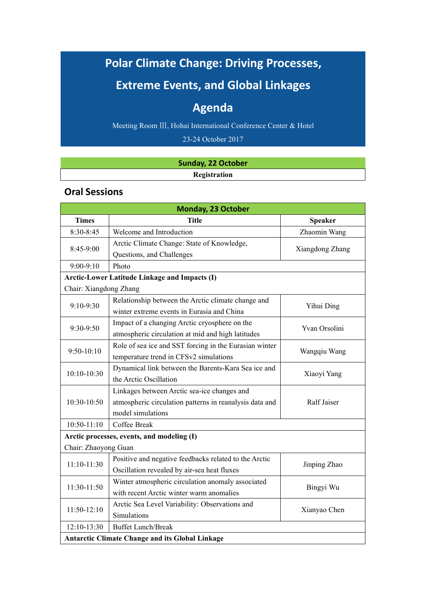# **Polar Climate Change: Driving Processes,**

## **Extreme Events, and Global Linkages**

## **Agenda**

Meeting Room Ⅲ, Hohai International Conference Center & Hotel

23-24 October 2017

#### **Sunday, 22 October Registration**

### **Oral Sessions**

|                        | <b>Monday, 23 October</b>                               |                 |  |
|------------------------|---------------------------------------------------------|-----------------|--|
| <b>Times</b>           | <b>Title</b><br>Speaker                                 |                 |  |
| 8:30-8:45              | Welcome and Introduction<br>Zhaomin Wang                |                 |  |
| 8:45-9:00              | Arctic Climate Change: State of Knowledge,              | Xiangdong Zhang |  |
|                        | Questions, and Challenges                               |                 |  |
| $9:00-9:10$            | Photo                                                   |                 |  |
|                        | <b>Arctic-Lower Latitude Linkage and Impacts (I)</b>    |                 |  |
| Chair: Xiangdong Zhang |                                                         |                 |  |
| 9:10-9:30              | Relationship between the Arctic climate change and      | Yihui Ding      |  |
|                        | winter extreme events in Eurasia and China              |                 |  |
| 9:30-9:50              | Impact of a changing Arctic cryosphere on the           | Yvan Orsolini   |  |
|                        | atmospheric circulation at mid and high latitudes       |                 |  |
| 9:50-10:10             | Role of sea ice and SST forcing in the Eurasian winter  | Wangqiu Wang    |  |
|                        | temperature trend in CFSv2 simulations                  |                 |  |
| 10:10-10:30            | Dynamical link between the Barents-Kara Sea ice and     | Xiaoyi Yang     |  |
|                        | the Arctic Oscillation                                  |                 |  |
|                        | Linkages between Arctic sea-ice changes and             | Ralf Jaiser     |  |
| 10:30-10:50            | atmospheric circulation patterns in reanalysis data and |                 |  |
|                        | model simulations                                       |                 |  |
| 10:50-11:10            | Coffee Break                                            |                 |  |
|                        | Arctic processes, events, and modeling (I)              |                 |  |
| Chair: Zhaoyong Guan   |                                                         |                 |  |
| 11:10-11:30            | Positive and negative feedbacks related to the Arctic   | Jinping Zhao    |  |
|                        | Oscillation revealed by air-sea heat fluxes             |                 |  |
| 11:30-11:50            | Winter atmospheric circulation anomaly associated       | Bingyi Wu       |  |
|                        | with recent Arctic winter warm anomalies                |                 |  |
| 11:50-12:10            | Arctic Sea Level Variability: Observations and          | Xianyao Chen    |  |
|                        | Simulations                                             |                 |  |
| 12:10-13:30            | <b>Buffet Lunch/Break</b>                               |                 |  |
|                        | <b>Antarctic Climate Change and its Global Linkage</b>  |                 |  |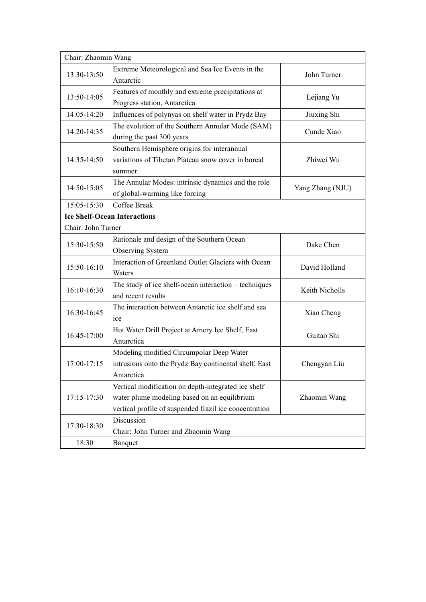| Chair: Zhaomin Wang |                                                                                                                                                               |               |
|---------------------|---------------------------------------------------------------------------------------------------------------------------------------------------------------|---------------|
| 13:30-13:50         | Extreme Meteorological and Sea Ice Events in the<br>John Turner<br>Antarctic                                                                                  |               |
| 13:50-14:05         | Features of monthly and extreme precipitations at<br>Lejiang Yu<br>Progress station, Antarctica                                                               |               |
| 14:05-14:20         | Influences of polynyas on shelf water in Prydz Bay                                                                                                            | Jiuxing Shi   |
| 14:20-14:35         | The evolution of the Southern Annular Mode (SAM)<br>Cunde Xiao<br>during the past 300 years                                                                   |               |
| 14:35-14:50         | Southern Hemisphere origins for interannual<br>variations of Tibetan Plateau snow cover in boreal<br>summer                                                   | Zhiwei Wu     |
| 14:50-15:05         | The Annular Modes: intrinsic dynamics and the role<br>Yang Zhang (NJU)<br>of global-warming like forcing                                                      |               |
| 15:05-15:30         | Coffee Break                                                                                                                                                  |               |
|                     | <b>Ice Shelf-Ocean Interactions</b>                                                                                                                           |               |
| Chair: John Turner  |                                                                                                                                                               |               |
| 15:30-15:50         | Rationale and design of the Southern Ocean<br>Observing System                                                                                                | Dake Chen     |
| 15:50-16:10         | Interaction of Greenland Outlet Glaciers with Ocean<br>Waters                                                                                                 | David Holland |
| 16:10-16:30         | The study of ice shelf-ocean interaction - techniques<br>Keith Nicholls<br>and recent results                                                                 |               |
| 16:30-16:45         | The interaction between Antarctic ice shelf and sea<br>Xiao Cheng<br>ice                                                                                      |               |
| 16:45-17:00         | Hot Water Drill Project at Amery Ice Shelf, East<br>Antarctica                                                                                                | Guitao Shi    |
| 17:00-17:15         | Modeling modified Circumpolar Deep Water<br>intrusions onto the Prydz Bay continental shelf, East<br>Antarctica                                               | Chengyan Liu  |
| 17:15-17:30         | Vertical modification on depth-integrated ice shelf<br>water plume modeling based on an equilibrium<br>vertical profile of suspended frazil ice concentration | Zhaomin Wang  |
| 17:30-18:30         | Discussion<br>Chair: John Turner and Zhaomin Wang                                                                                                             |               |
| 18:30               | Banquet                                                                                                                                                       |               |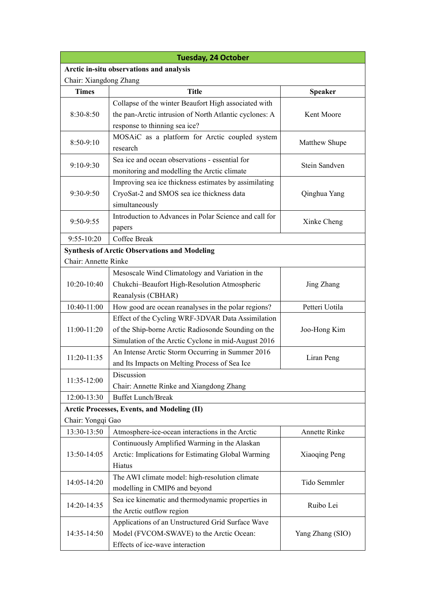| <b>Tuesday, 24 October</b> |                                                        |                  |  |  |
|----------------------------|--------------------------------------------------------|------------------|--|--|
|                            | Arctic in-situ observations and analysis               |                  |  |  |
| Chair: Xiangdong Zhang     |                                                        |                  |  |  |
| <b>Times</b>               | <b>Title</b>                                           | Speaker          |  |  |
|                            | Collapse of the winter Beaufort High associated with   |                  |  |  |
| 8:30-8:50                  | the pan-Arctic intrusion of North Atlantic cyclones: A | Kent Moore       |  |  |
|                            | response to thinning sea ice?                          |                  |  |  |
| 8:50-9:10                  | MOSAiC as a platform for Arctic coupled system         |                  |  |  |
|                            | research                                               | Matthew Shupe    |  |  |
|                            | Sea ice and ocean observations - essential for         | Stein Sandven    |  |  |
| 9:10-9:30                  | monitoring and modelling the Arctic climate            |                  |  |  |
|                            | Improving sea ice thickness estimates by assimilating  |                  |  |  |
| 9:30-9:50                  | CryoSat-2 and SMOS sea ice thickness data              | Qinghua Yang     |  |  |
|                            | simultaneously                                         |                  |  |  |
|                            | Introduction to Advances in Polar Science and call for |                  |  |  |
| 9:50-9:55                  | papers                                                 | Xinke Cheng      |  |  |
| 9:55-10:20                 | Coffee Break                                           |                  |  |  |
|                            | <b>Synthesis of Arctic Observations and Modeling</b>   |                  |  |  |
| Chair: Annette Rinke       |                                                        |                  |  |  |
|                            | Mesoscale Wind Climatology and Variation in the        |                  |  |  |
| 10:20-10:40                | Chukchi-Beaufort High-Resolution Atmospheric           | Jing Zhang       |  |  |
|                            | Reanalysis (CBHAR)                                     |                  |  |  |
| 10:40-11:00                | How good are ocean reanalyses in the polar regions?    | Petteri Uotila   |  |  |
|                            | Effect of the Cycling WRF-3DVAR Data Assimilation      |                  |  |  |
| 11:00-11:20                | of the Ship-borne Arctic Radiosonde Sounding on the    | Joo-Hong Kim     |  |  |
|                            | Simulation of the Arctic Cyclone in mid-August 2016    |                  |  |  |
|                            | An Intense Arctic Storm Occurring in Summer 2016       |                  |  |  |
| 11:20-11:35                | and Its Impacts on Melting Process of Sea Ice          | Liran Peng       |  |  |
|                            | Discussion                                             |                  |  |  |
| 11:35-12:00                | Chair: Annette Rinke and Xiangdong Zhang               |                  |  |  |
| 12:00-13:30                | <b>Buffet Lunch/Break</b>                              |                  |  |  |
|                            | <b>Arctic Processes, Events, and Modeling (II)</b>     |                  |  |  |
| Chair: Yongqi Gao          |                                                        |                  |  |  |
| 13:30-13:50                | Atmosphere-ice-ocean interactions in the Arctic        | Annette Rinke    |  |  |
|                            | Continuously Amplified Warming in the Alaskan          |                  |  |  |
| 13:50-14:05                | Arctic: Implications for Estimating Global Warming     | Xiaoqing Peng    |  |  |
|                            | Hiatus                                                 |                  |  |  |
|                            | The AWI climate model: high-resolution climate         |                  |  |  |
| 14:05-14:20                | modelling in CMIP6 and beyond                          | Tido Semmler     |  |  |
|                            | Sea ice kinematic and thermodynamic properties in      |                  |  |  |
| 14:20-14:35                | the Arctic outflow region                              | Ruibo Lei        |  |  |
|                            | Applications of an Unstructured Grid Surface Wave      |                  |  |  |
| 14:35-14:50                | Model (FVCOM-SWAVE) to the Arctic Ocean:               | Yang Zhang (SIO) |  |  |
|                            | Effects of ice-wave interaction                        |                  |  |  |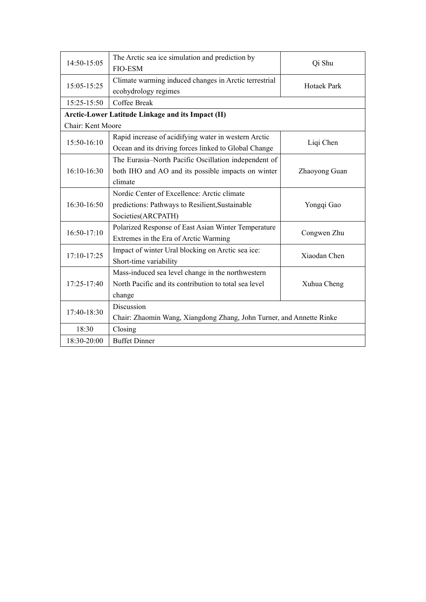| 14:50-15:05       | The Arctic sea ice simulation and prediction by                      | Qi Shu        |  |
|-------------------|----------------------------------------------------------------------|---------------|--|
|                   | <b>FIO-ESM</b>                                                       |               |  |
| 15:05-15:25       | Climate warming induced changes in Arctic terrestrial                | Hotaek Park   |  |
|                   | ecohydrology regimes                                                 |               |  |
| 15:25-15:50       | Coffee Break                                                         |               |  |
|                   | Arctic-Lower Latitude Linkage and its Impact (II)                    |               |  |
| Chair: Kent Moore |                                                                      |               |  |
| 15:50-16:10       | Rapid increase of acidifying water in western Arctic                 |               |  |
|                   | Ocean and its driving forces linked to Global Change                 | Liqi Chen     |  |
|                   | The Eurasia-North Pacific Oscillation independent of                 | Zhaoyong Guan |  |
| 16:10-16:30       | both IHO and AO and its possible impacts on winter                   |               |  |
|                   | climate                                                              |               |  |
| 16:30-16:50       | Nordic Center of Excellence: Arctic climate                          | Yongqi Gao    |  |
|                   | predictions: Pathways to Resilient, Sustainable                      |               |  |
|                   | Societies(ARCPATH)                                                   |               |  |
| 16:50-17:10       | Polarized Response of East Asian Winter Temperature                  | Congwen Zhu   |  |
|                   | Extremes in the Era of Arctic Warming                                |               |  |
|                   | Impact of winter Ural blocking on Arctic sea ice:                    | Xiaodan Chen  |  |
| 17:10-17:25       | Short-time variability                                               |               |  |
| 17:25-17:40       | Mass-induced sea level change in the northwestern                    |               |  |
|                   | North Pacific and its contribution to total sea level                | Xuhua Cheng   |  |
|                   | change                                                               |               |  |
| 17:40-18:30       | Discussion                                                           |               |  |
|                   | Chair: Zhaomin Wang, Xiangdong Zhang, John Turner, and Annette Rinke |               |  |
| 18:30             | Closing                                                              |               |  |
| 18:30-20:00       | <b>Buffet Dinner</b>                                                 |               |  |